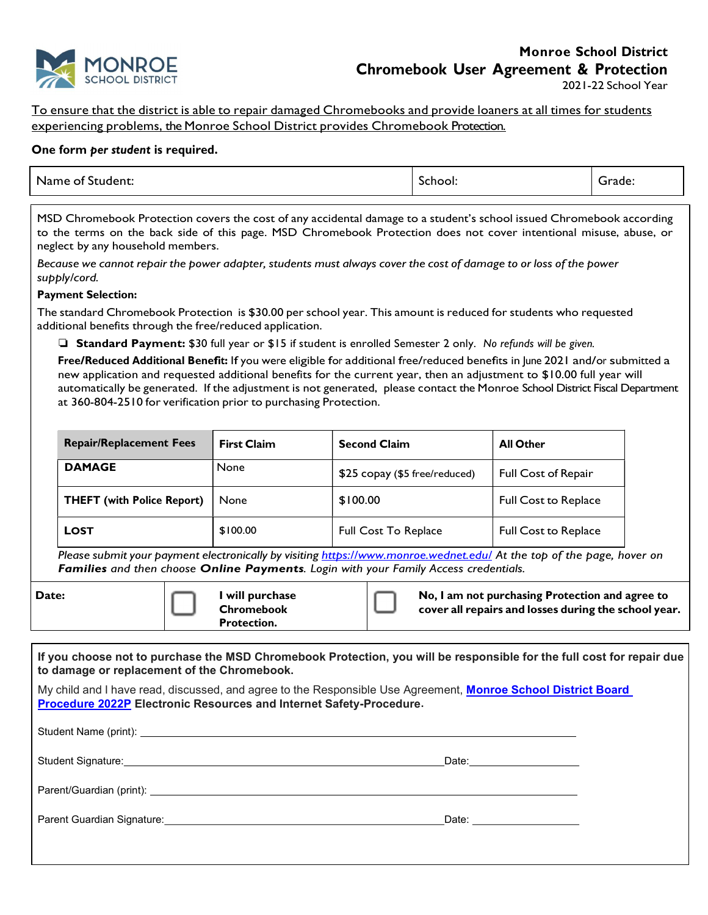

2021-22 School Year

To ensure that the district is able to repair damaged Chromebooks and provide loaners at all times for students experiencing problems, the Monroe School District provides Chromebook Protection.

## One form per student is required.

| . .<br>Name of :<br>Student: | . .<br>chool:<br>`` | -<br>rade:<br>$\sim$ $\sim$ $\sim$ $\sim$ |  |
|------------------------------|---------------------|-------------------------------------------|--|
|------------------------------|---------------------|-------------------------------------------|--|

MSD Chromebook Protection covers the cost of any accidental damage to a student's school issued Chromebook according to the terms on the back side of this page. MSD Chromebook Protection does not cover intentional misuse, abuse, or neglect by any household members.

Because we cannot repair the power adapter, students must always cover the cost of damage to or loss of the power supply/cord.

## Payment Selection:

The standard Chromebook Protection is \$30.00 per school year. This amount is reduced for students who requested additional benefits through the free/reduced application.

❏ Standard Payment: \$30 full year or \$15 if student is enrolled Semester 2 only. No refunds will be given.

Free/Reduced Additional Benefit: If you were eligible for additional free/reduced benefits in June 2021 and/or submitted a new application and requested additional benefits for the current year, then an adjustment to \$10.00 full year will automatically be generated. If the adjustment is not generated, please contact the Monroe School District Fiscal Department at 360-804-2510 for verification prior to purchasing Protection.

| <b>Repair/Replacement Fees</b>    | <b>First Claim</b> | <b>Second Claim</b>           | <b>All Other</b>            |
|-----------------------------------|--------------------|-------------------------------|-----------------------------|
| <b>DAMAGE</b>                     | None               | \$25 copay (\$5 free/reduced) | <b>Full Cost of Repair</b>  |
| <b>THEFT (with Police Report)</b> | None               | \$100.00                      | <b>Full Cost to Replace</b> |
| <b>LOST</b>                       | \$100.00           | <b>Full Cost To Replace</b>   | <b>Full Cost to Replace</b> |

Please submit your payment electronically by visiting https://www.monroe.wednet.edu/ At the top of the page, hover on Families and then choose Online Payments. Login with your Family Access credentials.

Date:  $\Box$  I will purchase **Chromebook** Protection.

No, I am not purchasing Protection and agree to cover all repairs and losses during the school year.

| If you choose not to purchase the MSD Chromebook Protection, you will be responsible for the full cost for repair due<br>to damage or replacement of the Chromebook.                 |                           |  |
|--------------------------------------------------------------------------------------------------------------------------------------------------------------------------------------|---------------------------|--|
| My child and I have read, discussed, and agree to the Responsible Use Agreement, Monroe School District Board<br>Procedure 2022P Electronic Resources and Internet Safety-Procedure. |                           |  |
|                                                                                                                                                                                      |                           |  |
|                                                                                                                                                                                      | Date:____________________ |  |
|                                                                                                                                                                                      |                           |  |
|                                                                                                                                                                                      | Date: ___________________ |  |
|                                                                                                                                                                                      |                           |  |